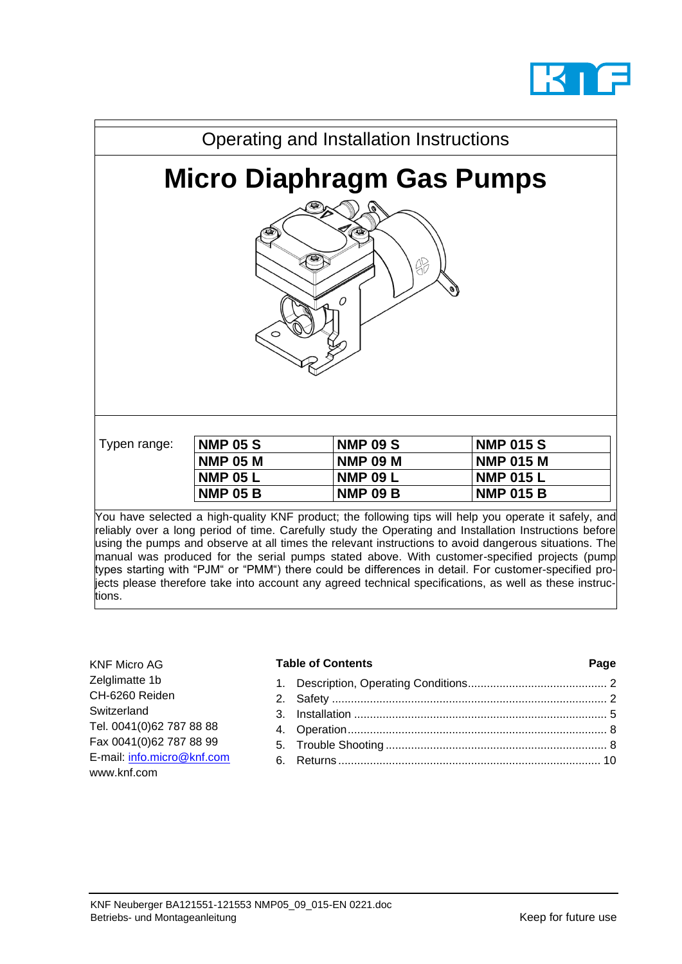



reliably over a long period of time. Carefully study the Operating and Installation Instructions before using the pumps and observe at all times the relevant instructions to avoid dangerous situations. The manual was produced for the serial pumps stated above. With customer-specified projects (pump types starting with "PJM" or "PMM") there could be differences in detail. For customer-specified projects please therefore take into account any agreed technical specifications, as well as these instructions.

| <b>KNF Micro AG</b>        |
|----------------------------|
| Zelglimatte 1b             |
| CH-6260 Reiden             |
| Switzerland                |
| Tel. 0041(0)62 787 88 88   |
| Fax 0041(0)62 787 88 99    |
| E-mail: info.micro@knf.com |
| www.knf.com                |

#### **Table of Contents Page**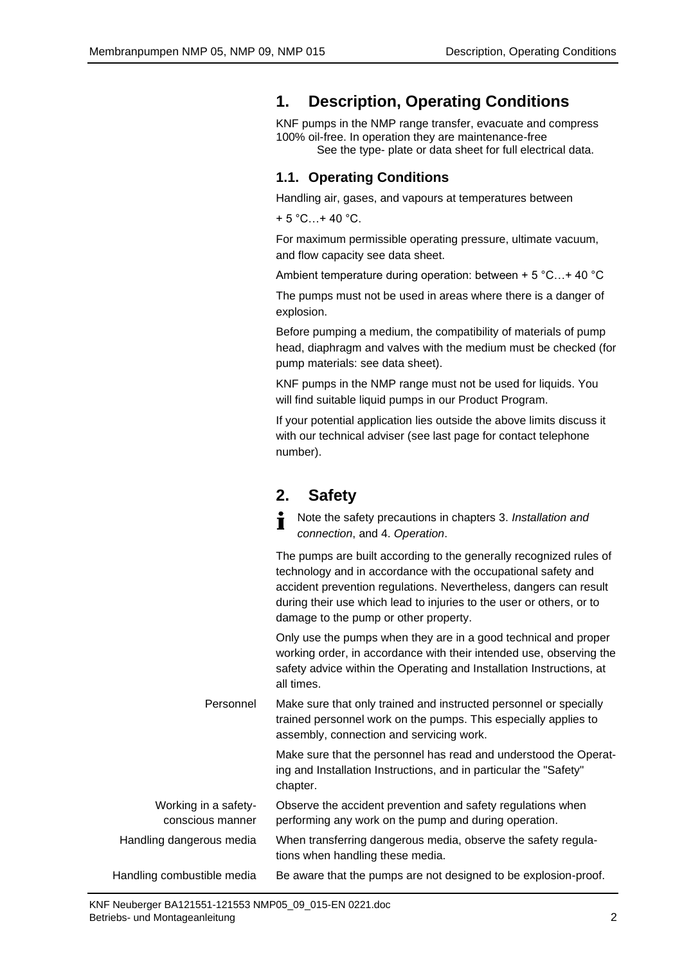# <span id="page-1-0"></span>**1. Description, Operating Conditions**

KNF pumps in the NMP range transfer, evacuate and compress 100% oil-free. In operation they are maintenance-free See the type- plate or data sheet for full electrical data.

## **1.1. Operating Conditions**

Handling air, gases, and vapours at temperatures between

 $+ 5 °C...+ 40 °C.$ 

For maximum permissible operating pressure, ultimate vacuum, and flow capacity see data sheet.

Ambient temperature during operation: between + 5 °C…+ 40 °C

The pumps must not be used in areas where there is a danger of explosion.

Before pumping a medium, the compatibility of materials of pump head, diaphragm and valves with the medium must be checked (for pump materials: see data sheet).

KNF pumps in the NMP range must not be used for liquids. You will find suitable liquid pumps in our Product Program.

If your potential application lies outside the above limits discuss it with our technical adviser (see last page for contact telephone number).

# <span id="page-1-1"></span>**2. Safety**

Note the safety precautions in chapters 3. *Installation and* Ť *connection*, and 4. *Operation*.

The pumps are built according to the generally recognized rules of technology and in accordance with the occupational safety and accident prevention regulations. Nevertheless, dangers can result during their use which lead to injuries to the user or others, or to damage to the pump or other property.

Only use the pumps when they are in a good technical and proper working order, in accordance with their intended use, observing the safety advice within the Operating and Installation Instructions, at all times.

Make sure that only trained and instructed personnel or specially trained personnel work on the pumps. This especially applies to assembly, connection and servicing work. Personnel

> Make sure that the personnel has read and understood the Operating and Installation Instructions, and in particular the "Safety" chapter.

| Working in a safety-     | Observe the accident prevention and safety regulations when   |  |
|--------------------------|---------------------------------------------------------------|--|
| conscious manner         | performing any work on the pump and during operation.         |  |
| Handling dangerous media | When transferring dangerous media, observe the safety regula- |  |

When transferring dangerous media, observe the safety regulations when handling these media.

Be aware that the pumps are not designed to be explosion-proof. Handling combustible media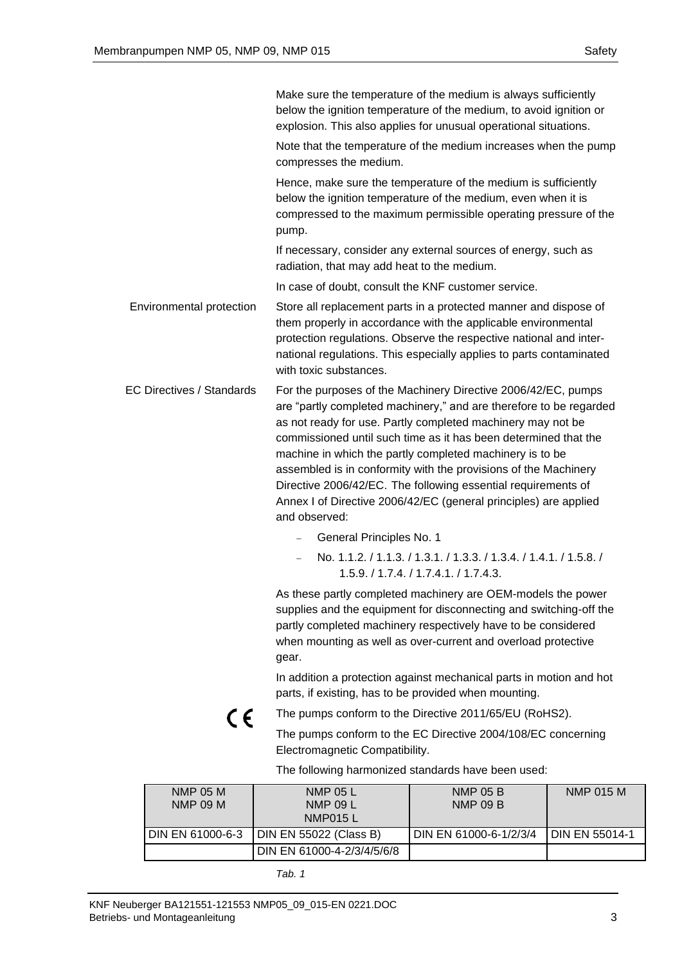|                                  | Make sure the temperature of the medium is always sufficiently<br>below the ignition temperature of the medium, to avoid ignition or<br>explosion. This also applies for unusual operational situations.                                                                                                                                                                                                                                                                                                                                                   |
|----------------------------------|------------------------------------------------------------------------------------------------------------------------------------------------------------------------------------------------------------------------------------------------------------------------------------------------------------------------------------------------------------------------------------------------------------------------------------------------------------------------------------------------------------------------------------------------------------|
|                                  | Note that the temperature of the medium increases when the pump<br>compresses the medium.                                                                                                                                                                                                                                                                                                                                                                                                                                                                  |
|                                  | Hence, make sure the temperature of the medium is sufficiently<br>below the ignition temperature of the medium, even when it is<br>compressed to the maximum permissible operating pressure of the<br>pump.                                                                                                                                                                                                                                                                                                                                                |
|                                  | If necessary, consider any external sources of energy, such as<br>radiation, that may add heat to the medium.                                                                                                                                                                                                                                                                                                                                                                                                                                              |
|                                  | In case of doubt, consult the KNF customer service.                                                                                                                                                                                                                                                                                                                                                                                                                                                                                                        |
| Environmental protection         | Store all replacement parts in a protected manner and dispose of<br>them properly in accordance with the applicable environmental<br>protection regulations. Observe the respective national and inter-<br>national regulations. This especially applies to parts contaminated<br>with toxic substances.                                                                                                                                                                                                                                                   |
| <b>EC Directives / Standards</b> | For the purposes of the Machinery Directive 2006/42/EC, pumps<br>are "partly completed machinery," and are therefore to be regarded<br>as not ready for use. Partly completed machinery may not be<br>commissioned until such time as it has been determined that the<br>machine in which the partly completed machinery is to be<br>assembled is in conformity with the provisions of the Machinery<br>Directive 2006/42/EC. The following essential requirements of<br>Annex I of Directive 2006/42/EC (general principles) are applied<br>and observed: |
|                                  | General Principles No. 1                                                                                                                                                                                                                                                                                                                                                                                                                                                                                                                                   |
|                                  | No. 1.1.2. / 1.1.3. / 1.3.1. / 1.3.3. / 1.3.4. / 1.4.1. / 1.5.8. /<br>1.5.9. / 1.7.4. / 1.7.4.1. / 1.7.4.3.                                                                                                                                                                                                                                                                                                                                                                                                                                                |
|                                  | As these partly completed machinery are OEM-models the power<br>supplies and the equipment for disconnecting and switching-off the<br>partly completed machinery respectively have to be considered<br>when mounting as well as over-current and overload protective                                                                                                                                                                                                                                                                                       |

In addition a protection against mechanical parts in motion and hot parts, if existing, has to be provided when mounting.

 $C \in$ The pumps conform to the Directive 2011/65/EU (RoHS2).

The pumps conform to the EC Directive 2004/108/EC concerning Electromagnetic Compatibility.

| <b>NMP 05 M</b><br>NMP 09 M | <b>NMP 05 L</b><br>NMP 09 L<br>NMP015 L | <b>NMP 05 B</b><br><b>NMP 09 B</b> | NMP 015 M        |
|-----------------------------|-----------------------------------------|------------------------------------|------------------|
| DIN EN 61000-6-3            | DIN EN 55022 (Class B)                  | DIN EN 61000-6-1/2/3/4             | I DIN EN 55014-1 |
|                             | DIN EN 61000-4-2/3/4/5/6/8              |                                    |                  |

*Tab. 1*

gear.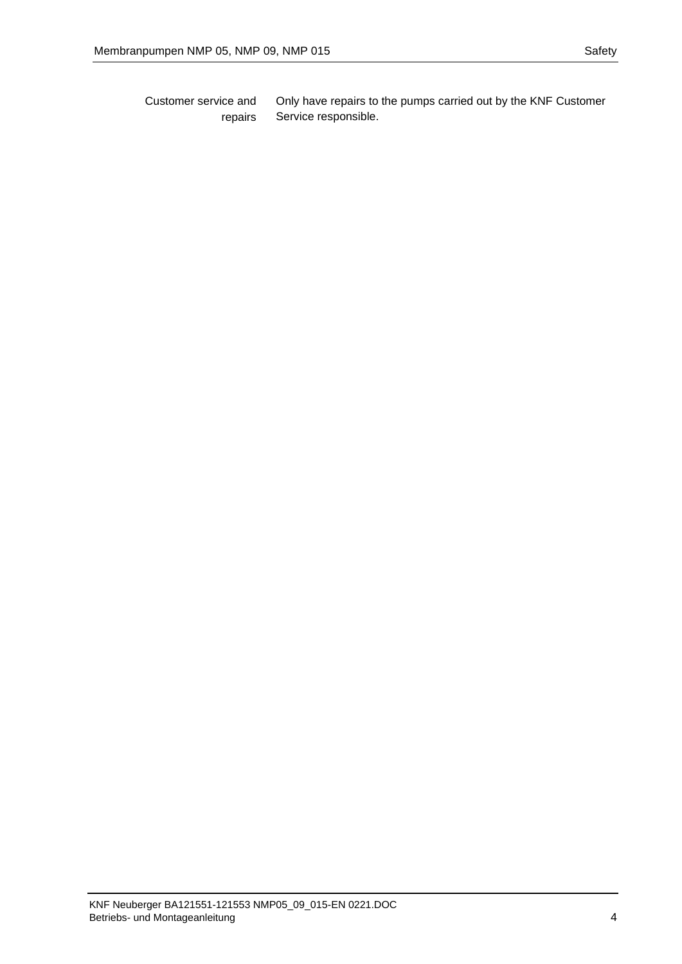Only have repairs to the pumps carried out by the KNF Customer Service responsible. Customer service and repairs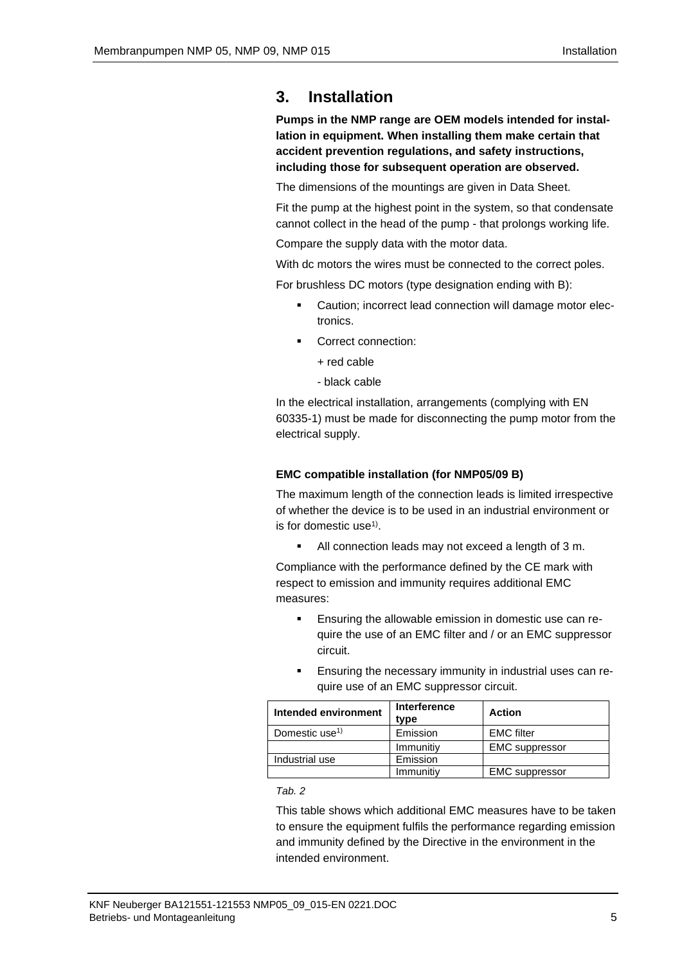# <span id="page-4-0"></span>**3. Installation**

**Pumps in the NMP range are OEM models intended for installation in equipment. When installing them make certain that accident prevention regulations, and safety instructions, including those for subsequent operation are observed.**

The dimensions of the mountings are given in Data Sheet.

Fit the pump at the highest point in the system, so that condensate cannot collect in the head of the pump - that prolongs working life.

Compare the supply data with the motor data.

With dc motors the wires must be connected to the correct poles.

For brushless DC motors (type designation ending with B):

- Caution; incorrect lead connection will damage motor electronics.
- Correct connection:
	- + red cable
	- black cable

In the electrical installation, arrangements (complying with EN 60335-1) must be made for disconnecting the pump motor from the electrical supply.

#### **EMC compatible installation (for NMP05/09 B)**

The maximum length of the connection leads is limited irrespective of whether the device is to be used in an industrial environment or is for domestic use<sup>1)</sup>.

■ All connection leads may not exceed a length of 3 m.

Compliance with the performance defined by the CE mark with respect to emission and immunity requires additional EMC measures:

- **Ensuring the allowable emission in domestic use can re**quire the use of an EMC filter and / or an EMC suppressor circuit.
- **Ensuring the necessary immunity in industrial uses can re**quire use of an EMC suppressor circuit.

| Intended environment       | <b>Interference</b><br>type | Action                |
|----------------------------|-----------------------------|-----------------------|
| Domestic use <sup>1)</sup> | Emission                    | <b>EMC</b> filter     |
|                            | Immunitiy                   | <b>EMC</b> suppressor |
| Industrial use             | Emission                    |                       |
|                            | Immunitiy                   | <b>EMC</b> suppressor |

#### *Tab. 2*

This table shows which additional EMC measures have to be taken to ensure the equipment fulfils the performance regarding emission and immunity defined by the Directive in the environment in the intended environment.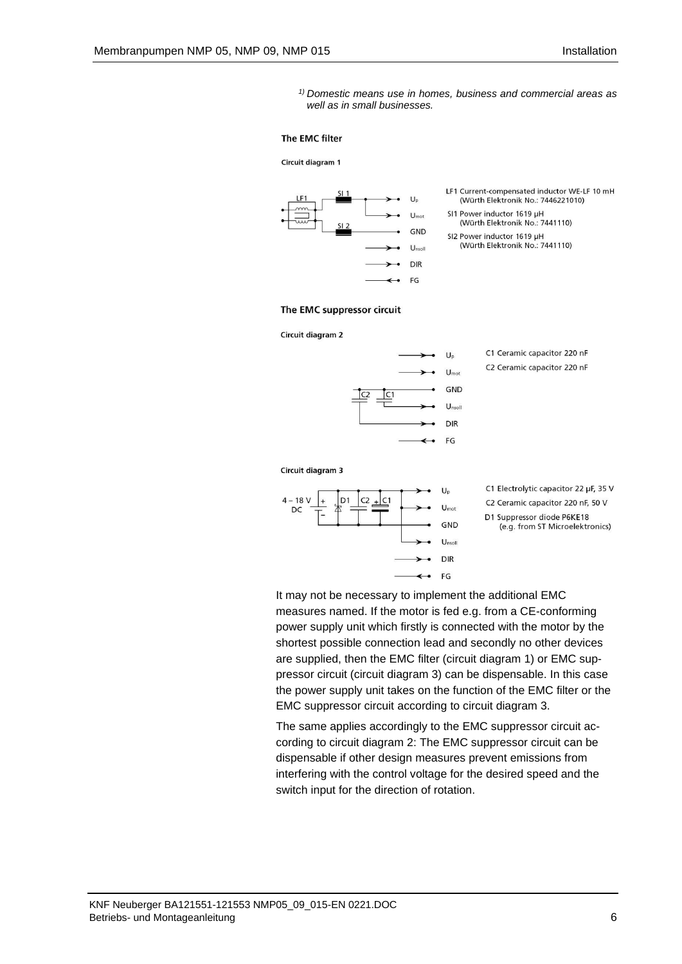*1) Domestic means use in homes, business and commercial areas as well as in small businesses.*

#### The EMC filter

Circuit diagram 1



#### The EMC suppressor circuit



It may not be necessary to implement the additional EMC measures named. If the motor is fed e.g. from a CE-conforming power supply unit which firstly is connected with the motor by the shortest possible connection lead and secondly no other devices are supplied, then the EMC filter (circuit diagram 1) or EMC suppressor circuit (circuit diagram 3) can be dispensable. In this case the power supply unit takes on the function of the EMC filter or the EMC suppressor circuit according to circuit diagram 3.

The same applies accordingly to the EMC suppressor circuit according to circuit diagram 2: The EMC suppressor circuit can be dispensable if other design measures prevent emissions from interfering with the control voltage for the desired speed and the switch input for the direction of rotation.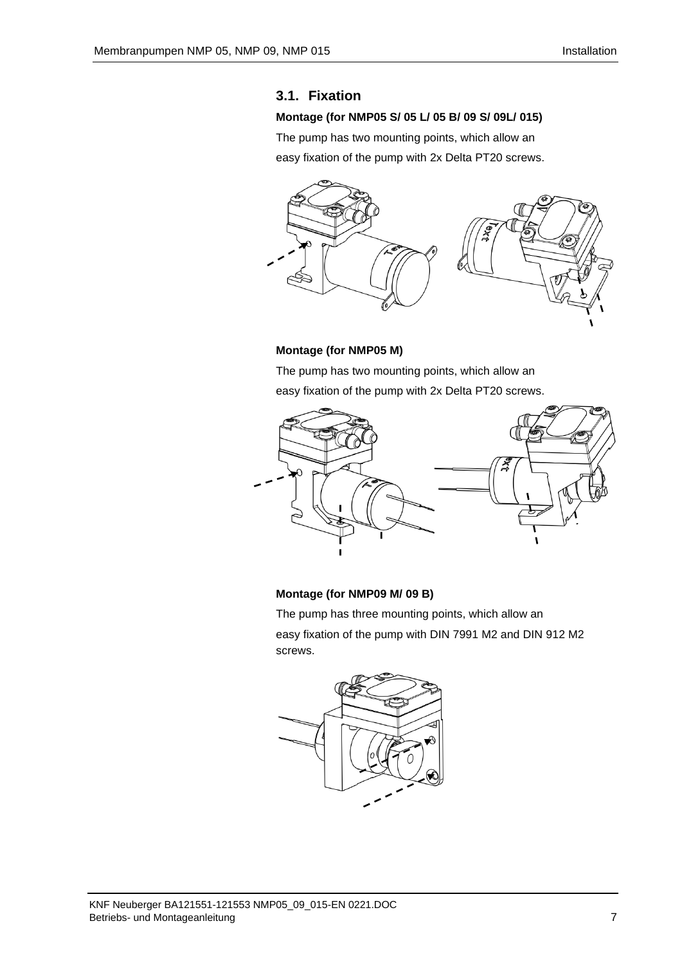## **3.1. Fixation**

#### **Montage (for NMP05 S/ 05 L/ 05 B/ 09 S/ 09L/ 015)**

The pump has two mounting points, which allow an

easy fixation of the pump with 2x Delta PT20 screws.



## **Montage (for NMP05 M)**

The pump has two mounting points, which allow an easy fixation of the pump with 2x Delta PT20 screws.



## **Montage (for NMP09 M/ 09 B)**

The pump has three mounting points, which allow an easy fixation of the pump with DIN 7991 M2 and DIN 912 M2 screws.

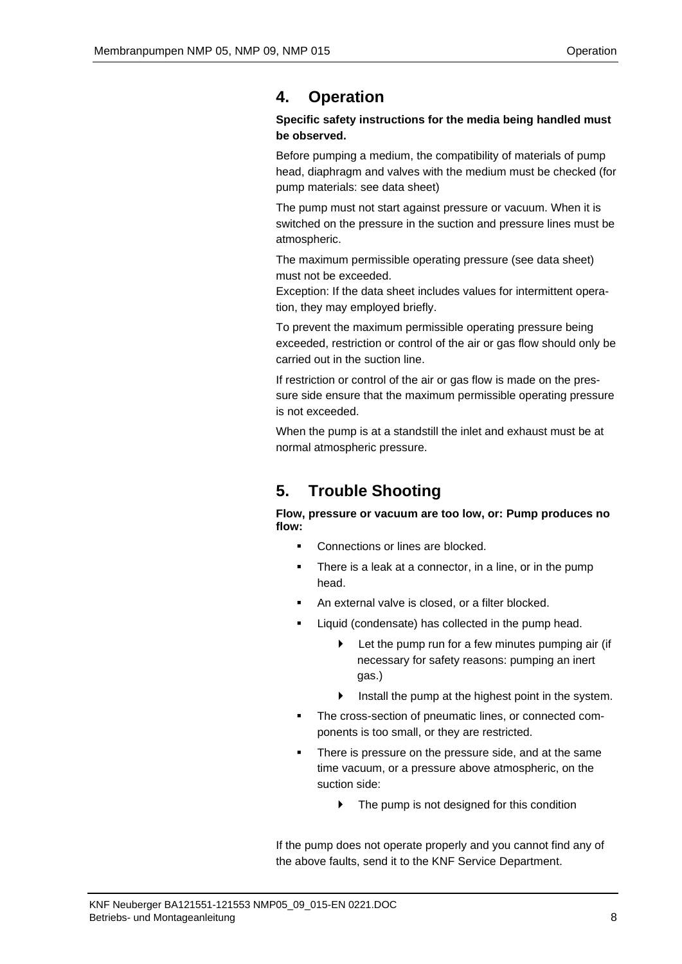# <span id="page-7-0"></span>**4. Operation**

#### **Specific safety instructions for the media being handled must be observed.**

Before pumping a medium, the compatibility of materials of pump head, diaphragm and valves with the medium must be checked (for pump materials: see data sheet)

The pump must not start against pressure or vacuum. When it is switched on the pressure in the suction and pressure lines must be atmospheric.

The maximum permissible operating pressure (see data sheet) must not be exceeded.

Exception: If the data sheet includes values for intermittent operation, they may employed briefly.

To prevent the maximum permissible operating pressure being exceeded, restriction or control of the air or gas flow should only be carried out in the suction line.

If restriction or control of the air or gas flow is made on the pressure side ensure that the maximum permissible operating pressure is not exceeded.

When the pump is at a standstill the inlet and exhaust must be at normal atmospheric pressure.

# <span id="page-7-1"></span>**5. Trouble Shooting**

**Flow, pressure or vacuum are too low, or: Pump produces no flow:**

- Connections or lines are blocked.
- There is a leak at a connector, in a line, or in the pump head.
- An external valve is closed, or a filter blocked.
- Liquid (condensate) has collected in the pump head.
	- Let the pump run for a few minutes pumping air (if necessary for safety reasons: pumping an inert gas.)
	- $\blacktriangleright$  Install the pump at the highest point in the system.
- The cross-section of pneumatic lines, or connected components is too small, or they are restricted.
- There is pressure on the pressure side, and at the same time vacuum, or a pressure above atmospheric, on the suction side:
	- **The pump is not designed for this condition**

If the pump does not operate properly and you cannot find any of the above faults, send it to the KNF Service Department.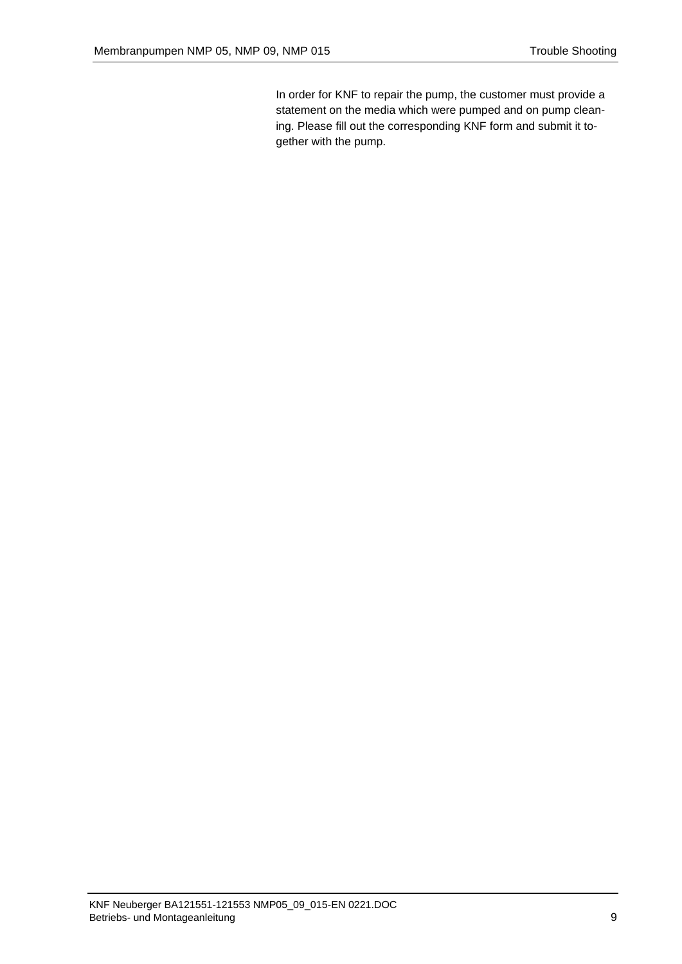In order for KNF to repair the pump, the customer must provide a statement on the media which were pumped and on pump cleaning. Please fill out the corresponding KNF form and submit it together with the pump.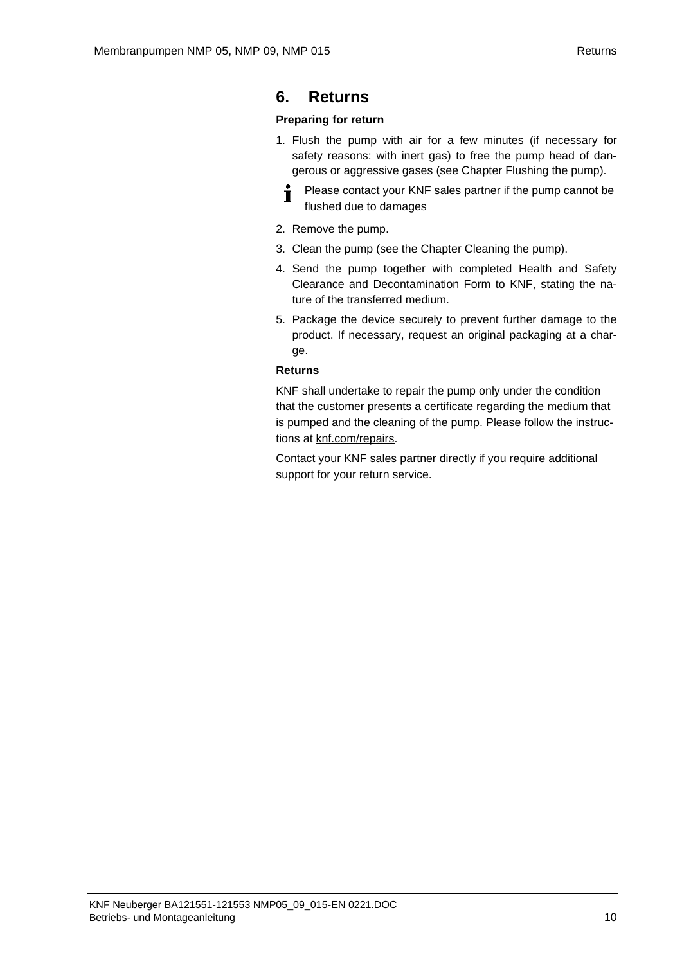# <span id="page-9-0"></span>**6. Returns**

## **Preparing for return**

- 1. Flush the pump with air for a few minutes (if necessary for safety reasons: with inert gas) to free the pump head of dangerous or aggressive gases (see Chapter Flushing the pump).
	- Please contact your KNF sales partner if the pump cannot be Ť flushed due to damages
- 2. Remove the pump.
- 3. Clean the pump (see the Chapter Cleaning the pump).
- 4. Send the pump together with completed Health and Safety Clearance and Decontamination Form to KNF, stating the nature of the transferred medium.
- 5. Package the device securely to prevent further damage to the product. If necessary, request an original packaging at a charge.

#### **Returns**

KNF shall undertake to repair the pump only under the condition that the customer presents a certificate regarding the medium that is pumped and the cleaning of the pump. Please follow the instructions at knf.com/repairs.

Contact your KNF sales partner directly if you require additional support for your return service.